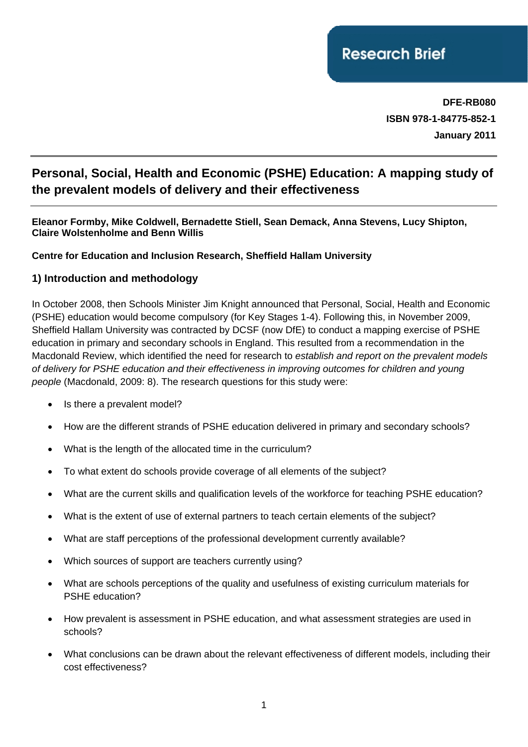**DFE-RB080 ISBN 978-1-84775-852-1 January 2011**

# **Personal, Social, Health and Economic (PSHE) Education: A mapping study of the prevalent models of delivery and their effectiveness**

#### **Eleanor Formby, Mike Coldwell, Bernadette Stiell, Sean Demack, Anna Stevens, Lucy Shipton, Claire Wolstenholme and Benn Willis**

#### **Centre for Education and Inclusion Research, Sheffield Hallam University**

#### **1) Introduction and methodology**

In October 2008, then Schools Minister Jim Knight announced that Personal, Social, Health and Economic (PSHE) education would become compulsory (for Key Stages 1-4). Following this, in November 2009, Sheffield Hallam University was contracted by DCSF (now DfE) to conduct a mapping exercise of PSHE education in primary and secondary schools in England. This resulted from a recommendation in the Macdonald Review, which identified the need for research to *establish and report on the prevalent models of delivery for PSHE education and their effectiveness in improving outcomes for children and young people* (Macdonald, 2009: 8). The research questions for this study were:

- Is there a prevalent model?
- How are the different strands of PSHE education delivered in primary and secondary schools?
- What is the length of the allocated time in the curriculum?
- To what extent do schools provide coverage of all elements of the subject?
- What are the current skills and qualification levels of the workforce for teaching PSHE education?
- What is the extent of use of external partners to teach certain elements of the subject?
- What are staff perceptions of the professional development currently available?
- Which sources of support are teachers currently using?
- What are schools perceptions of the quality and usefulness of existing curriculum materials for PSHE education?
- How prevalent is assessment in PSHE education, and what assessment strategies are used in schools?
- What conclusions can be drawn about the relevant effectiveness of different models, including their cost effectiveness?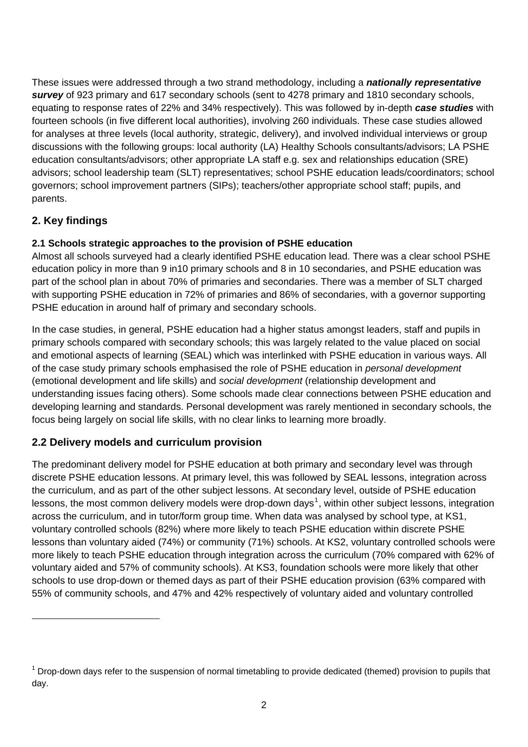These issues were addressed through a two strand methodology, including a *nationally representative survey* of 923 primary and 617 secondary schools (sent to 4278 primary and 1810 secondary schools, equating to response rates of 22% and 34% respectively). This was followed by in-depth *case studies* with fourteen schools (in five different local authorities), involving 260 individuals. These case studies allowed for analyses at three levels (local authority, strategic, delivery), and involved individual interviews or group discussions with the following groups: local authority (LA) Healthy Schools consultants/advisors; LA PSHE education consultants/advisors; other appropriate LA staff e.g. sex and relationships education (SRE) advisors; school leadership team (SLT) representatives; school PSHE education leads/coordinators; school governors; school improvement partners (SIPs); teachers/other appropriate school staff; pupils, and parents.

# **2. Key findings**

 $\overline{a}$ 

# **2.1 Schools strategic approaches to the provision of PSHE education**

Almost all schools surveyed had a clearly identified PSHE education lead. There was a clear school PSHE education policy in more than 9 in10 primary schools and 8 in 10 secondaries, and PSHE education was part of the school plan in about 70% of primaries and secondaries. There was a member of SLT charged with supporting PSHE education in 72% of primaries and 86% of secondaries, with a governor supporting PSHE education in around half of primary and secondary schools.

In the case studies, in general, PSHE education had a higher status amongst leaders, staff and pupils in primary schools compared with secondary schools; this was largely related to the value placed on social and emotional aspects of learning (SEAL) which was interlinked with PSHE education in various ways. All of the case study primary schools emphasised the role of PSHE education in *personal development*  (emotional development and life skills) and *social development* (relationship development and understanding issues facing others). Some schools made clear connections between PSHE education and developing learning and standards. Personal development was rarely mentioned in secondary schools, the focus being largely on social life skills, with no clear links to learning more broadly.

# **2.2 Delivery models and curriculum provision**

The predominant delivery model for PSHE education at both primary and secondary level was through discrete PSHE education lessons. At primary level, this was followed by SEAL lessons, integration across the curriculum, and as part of the other subject lessons. At secondary level, outside of PSHE education lessons, the most common delivery models were drop-down days<sup>[1](#page-1-0)</sup>, within other subject lessons, integration across the curriculum, and in tutor/form group time. When data was analysed by school type, at KS1, voluntary controlled schools (82%) where more likely to teach PSHE education within discrete PSHE lessons than voluntary aided (74%) or community (71%) schools. At KS2, voluntary controlled schools were more likely to teach PSHE education through integration across the curriculum (70% compared with 62% of voluntary aided and 57% of community schools). At KS3, foundation schools were more likely that other schools to use drop-down or themed days as part of their PSHE education provision (63% compared with 55% of community schools, and 47% and 42% respectively of voluntary aided and voluntary controlled

<span id="page-1-0"></span> $1$  Drop-down days refer to the suspension of normal timetabling to provide dedicated (themed) provision to pupils that day.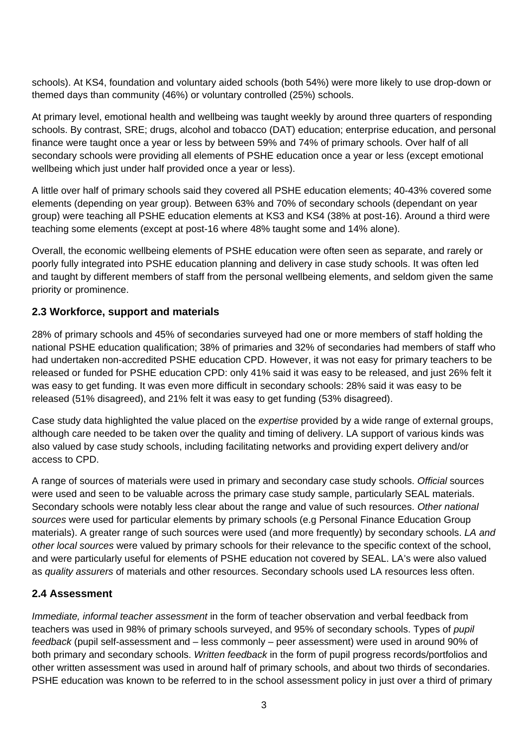schools). At KS4, foundation and voluntary aided schools (both 54%) were more likely to use drop-down or themed days than community (46%) or voluntary controlled (25%) schools.

At primary level, emotional health and wellbeing was taught weekly by around three quarters of responding schools. By contrast, SRE; drugs, alcohol and tobacco (DAT) education; enterprise education, and personal finance were taught once a year or less by between 59% and 74% of primary schools. Over half of all secondary schools were providing all elements of PSHE education once a year or less (except emotional wellbeing which just under half provided once a year or less).

A little over half of primary schools said they covered all PSHE education elements; 40-43% covered some elements (depending on year group). Between 63% and 70% of secondary schools (dependant on year group) were teaching all PSHE education elements at KS3 and KS4 (38% at post-16). Around a third were teaching some elements (except at post-16 where 48% taught some and 14% alone).

Overall, the economic wellbeing elements of PSHE education were often seen as separate, and rarely or poorly fully integrated into PSHE education planning and delivery in case study schools. It was often led and taught by different members of staff from the personal wellbeing elements, and seldom given the same priority or prominence.

# **2.3 Workforce, support and materials**

28% of primary schools and 45% of secondaries surveyed had one or more members of staff holding the national PSHE education qualification; 38% of primaries and 32% of secondaries had members of staff who had undertaken non-accredited PSHE education CPD. However, it was not easy for primary teachers to be released or funded for PSHE education CPD: only 41% said it was easy to be released, and just 26% felt it was easy to get funding. It was even more difficult in secondary schools: 28% said it was easy to be released (51% disagreed), and 21% felt it was easy to get funding (53% disagreed).

Case study data highlighted the value placed on the *expertise* provided by a wide range of external groups, although care needed to be taken over the quality and timing of delivery. LA support of various kinds was also valued by case study schools, including facilitating networks and providing expert delivery and/or access to CPD.

A range of sources of materials were used in primary and secondary case study schools. *Official* sources were used and seen to be valuable across the primary case study sample, particularly SEAL materials. Secondary schools were notably less clear about the range and value of such resources. *Other national sources* were used for particular elements by primary schools (e.g Personal Finance Education Group materials). A greater range of such sources were used (and more frequently) by secondary schools. *LA and other local sources* were valued by primary schools for their relevance to the specific context of the school, and were particularly useful for elements of PSHE education not covered by SEAL. LA's were also valued as *quality assurers* of materials and other resources. Secondary schools used LA resources less often.

# **2.4 Assessment**

*Immediate, informal teacher assessment* in the form of teacher observation and verbal feedback from teachers was used in 98% of primary schools surveyed, and 95% of secondary schools. Types of *pupil feedback* (pupil self-assessment and – less commonly – peer assessment) were used in around 90% of both primary and secondary schools. *Written feedback* in the form of pupil progress records/portfolios and other written assessment was used in around half of primary schools, and about two thirds of secondaries. PSHE education was known to be referred to in the school assessment policy in just over a third of primary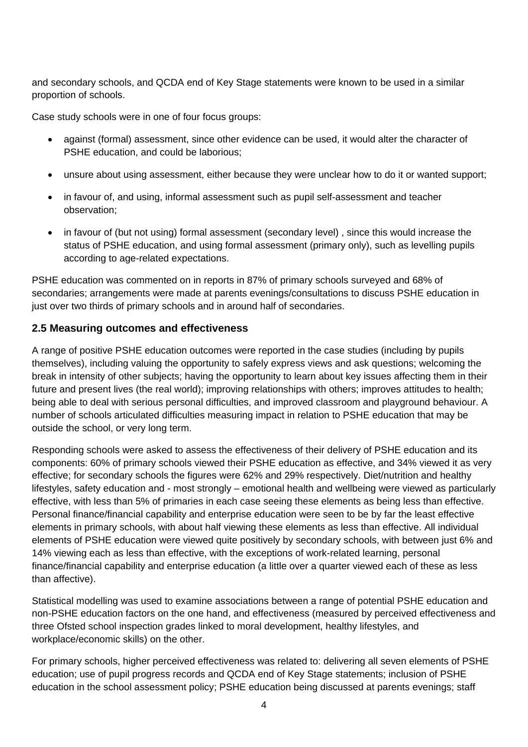and secondary schools, and QCDA end of Key Stage statements were known to be used in a similar proportion of schools.

Case study schools were in one of four focus groups:

- against (formal) assessment, since other evidence can be used, it would alter the character of PSHE education, and could be laborious;
- unsure about using assessment, either because they were unclear how to do it or wanted support;
- in favour of, and using, informal assessment such as pupil self-assessment and teacher observation;
- in favour of (but not using) formal assessment (secondary level), since this would increase the status of PSHE education, and using formal assessment (primary only), such as levelling pupils according to age-related expectations.

PSHE education was commented on in reports in 87% of primary schools surveyed and 68% of secondaries; arrangements were made at parents evenings/consultations to discuss PSHE education in just over two thirds of primary schools and in around half of secondaries.

#### **2.5 Measuring outcomes and effectiveness**

A range of positive PSHE education outcomes were reported in the case studies (including by pupils themselves), including valuing the opportunity to safely express views and ask questions; welcoming the break in intensity of other subjects; having the opportunity to learn about key issues affecting them in their future and present lives (the real world); improving relationships with others; improves attitudes to health; being able to deal with serious personal difficulties, and improved classroom and playground behaviour. A number of schools articulated difficulties measuring impact in relation to PSHE education that may be outside the school, or very long term.

Responding schools were asked to assess the effectiveness of their delivery of PSHE education and its components: 60% of primary schools viewed their PSHE education as effective, and 34% viewed it as very effective; for secondary schools the figures were 62% and 29% respectively. Diet/nutrition and healthy lifestyles, safety education and - most strongly – emotional health and wellbeing were viewed as particularly effective, with less than 5% of primaries in each case seeing these elements as being less than effective. Personal finance/financial capability and enterprise education were seen to be by far the least effective elements in primary schools, with about half viewing these elements as less than effective. All individual elements of PSHE education were viewed quite positively by secondary schools, with between just 6% and 14% viewing each as less than effective, with the exceptions of work-related learning, personal finance/financial capability and enterprise education (a little over a quarter viewed each of these as less than affective).

Statistical modelling was used to examine associations between a range of potential PSHE education and non-PSHE education factors on the one hand, and effectiveness (measured by perceived effectiveness and three Ofsted school inspection grades linked to moral development, healthy lifestyles, and workplace/economic skills) on the other.

For primary schools, higher perceived effectiveness was related to: delivering all seven elements of PSHE education; use of pupil progress records and QCDA end of Key Stage statements; inclusion of PSHE education in the school assessment policy; PSHE education being discussed at parents evenings; staff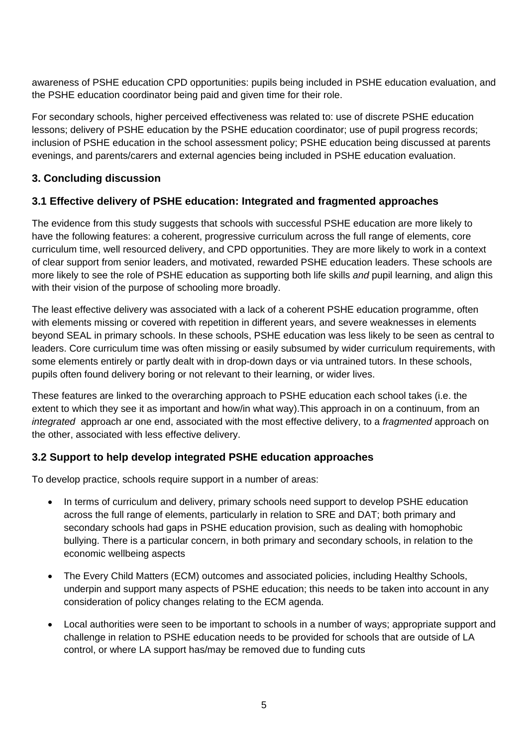awareness of PSHE education CPD opportunities: pupils being included in PSHE education evaluation, and the PSHE education coordinator being paid and given time for their role.

For secondary schools, higher perceived effectiveness was related to: use of discrete PSHE education lessons; delivery of PSHE education by the PSHE education coordinator; use of pupil progress records; inclusion of PSHE education in the school assessment policy; PSHE education being discussed at parents evenings, and parents/carers and external agencies being included in PSHE education evaluation.

# **3. Concluding discussion**

# **3.1 Effective delivery of PSHE education: Integrated and fragmented approaches**

The evidence from this study suggests that schools with successful PSHE education are more likely to have the following features: a coherent, progressive curriculum across the full range of elements, core curriculum time, well resourced delivery, and CPD opportunities. They are more likely to work in a context of clear support from senior leaders, and motivated, rewarded PSHE education leaders. These schools are more likely to see the role of PSHE education as supporting both life skills *and* pupil learning, and align this with their vision of the purpose of schooling more broadly.

The least effective delivery was associated with a lack of a coherent PSHE education programme, often with elements missing or covered with repetition in different years, and severe weaknesses in elements beyond SEAL in primary schools. In these schools, PSHE education was less likely to be seen as central to leaders. Core curriculum time was often missing or easily subsumed by wider curriculum requirements, with some elements entirely or partly dealt with in drop-down days or via untrained tutors. In these schools, pupils often found delivery boring or not relevant to their learning, or wider lives.

These features are linked to the overarching approach to PSHE education each school takes (i.e. the extent to which they see it as important and how/in what way).This approach in on a continuum, from an *integrated* approach ar one end, associated with the most effective delivery, to a *fragmented* approach on the other, associated with less effective delivery.

# **3.2 Support to help develop integrated PSHE education approaches**

To develop practice, schools require support in a number of areas:

- In terms of curriculum and delivery, primary schools need support to develop PSHE education across the full range of elements, particularly in relation to SRE and DAT; both primary and secondary schools had gaps in PSHE education provision, such as dealing with homophobic bullying. There is a particular concern, in both primary and secondary schools, in relation to the economic wellbeing aspects
- The Every Child Matters (ECM) outcomes and associated policies, including Healthy Schools, underpin and support many aspects of PSHE education; this needs to be taken into account in any consideration of policy changes relating to the ECM agenda.
- Local authorities were seen to be important to schools in a number of ways; appropriate support and challenge in relation to PSHE education needs to be provided for schools that are outside of LA control, or where LA support has/may be removed due to funding cuts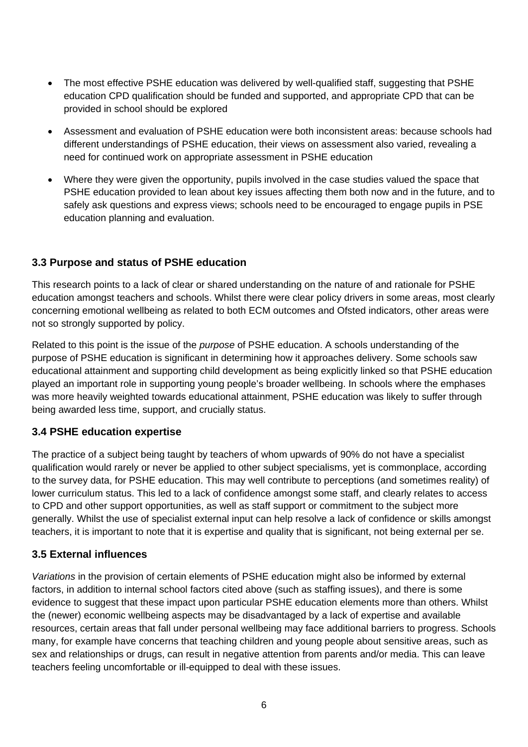- The most effective PSHE education was delivered by well-qualified staff, suggesting that PSHE education CPD qualification should be funded and supported, and appropriate CPD that can be provided in school should be explored
- Assessment and evaluation of PSHE education were both inconsistent areas: because schools had different understandings of PSHE education, their views on assessment also varied, revealing a need for continued work on appropriate assessment in PSHE education
- Where they were given the opportunity, pupils involved in the case studies valued the space that PSHE education provided to lean about key issues affecting them both now and in the future, and to safely ask questions and express views; schools need to be encouraged to engage pupils in PSE education planning and evaluation.

# **3.3 Purpose and status of PSHE education**

This research points to a lack of clear or shared understanding on the nature of and rationale for PSHE education amongst teachers and schools. Whilst there were clear policy drivers in some areas, most clearly concerning emotional wellbeing as related to both ECM outcomes and Ofsted indicators, other areas were not so strongly supported by policy.

Related to this point is the issue of the *purpose* of PSHE education. A schools understanding of the purpose of PSHE education is significant in determining how it approaches delivery. Some schools saw educational attainment and supporting child development as being explicitly linked so that PSHE education played an important role in supporting young people's broader wellbeing. In schools where the emphases was more heavily weighted towards educational attainment, PSHE education was likely to suffer through being awarded less time, support, and crucially status.

# **3.4 PSHE education expertise**

The practice of a subject being taught by teachers of whom upwards of 90% do not have a specialist qualification would rarely or never be applied to other subject specialisms, yet is commonplace, according to the survey data, for PSHE education. This may well contribute to perceptions (and sometimes reality) of lower curriculum status. This led to a lack of confidence amongst some staff, and clearly relates to access to CPD and other support opportunities, as well as staff support or commitment to the subject more generally. Whilst the use of specialist external input can help resolve a lack of confidence or skills amongst teachers, it is important to note that it is expertise and quality that is significant, not being external per se.

# **3.5 External influences**

*Variations* in the provision of certain elements of PSHE education might also be informed by external factors, in addition to internal school factors cited above (such as staffing issues), and there is some evidence to suggest that these impact upon particular PSHE education elements more than others. Whilst the (newer) economic wellbeing aspects may be disadvantaged by a lack of expertise and available resources, certain areas that fall under personal wellbeing may face additional barriers to progress. Schools many, for example have concerns that teaching children and young people about sensitive areas, such as sex and relationships or drugs, can result in negative attention from parents and/or media. This can leave teachers feeling uncomfortable or ill-equipped to deal with these issues.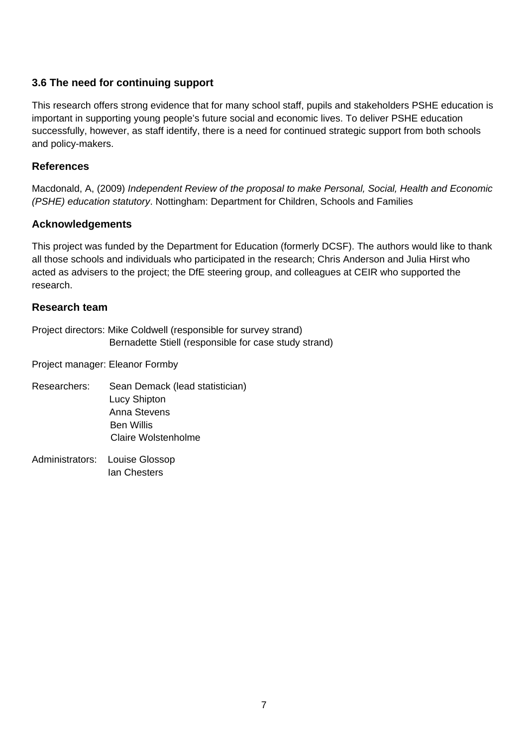#### **3.6 The need for continuing support**

This research offers strong evidence that for many school staff, pupils and stakeholders PSHE education is important in supporting young people's future social and economic lives. To deliver PSHE education successfully, however, as staff identify, there is a need for continued strategic support from both schools and policy-makers.

#### **References**

Macdonald, A, (2009) *Independent Review of the proposal to make Personal, Social, Health and Economic (PSHE) education statutory*. Nottingham: Department for Children, Schools and Families

#### **Acknowledgements**

This project was funded by the Department for Education (formerly DCSF). The authors would like to thank all those schools and individuals who participated in the research; Chris Anderson and Julia Hirst who acted as advisers to the project; the DfE steering group, and colleagues at CEIR who supported the research.

#### **Research team**

Project directors: Mike Coldwell (responsible for survey strand) Bernadette Stiell (responsible for case study strand)

Project manager: Eleanor Formby

- Researchers: Sean Demack (lead statistician) Lucy Shipton Anna Stevens Ben Willis Claire Wolstenholme
- Administrators: Louise Glossop Ian Chesters